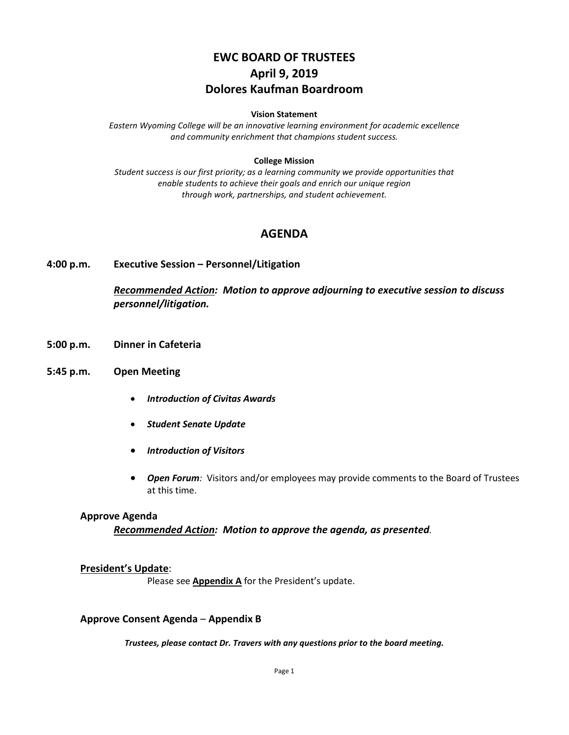# **EWC BOARD OF TRUSTEES April 9, 2019 Dolores Kaufman Boardroom**

#### **Vision Statement**

*Eastern Wyoming College will be an innovative learning environment for academic excellence and community enrichment that champions student success.*

#### **College Mission**

*Student success is our first priority; as a learning community we provide opportunities that enable students to achieve their goals and enrich our unique region through work, partnerships, and student achievement.*

### **AGENDA**

#### **4:00 p.m. Executive Session – Personnel/Litigation**

*Recommended Action: Motion to approve adjourning to executive session to discuss personnel/litigation.*

- **5:00 p.m. Dinner in Cafeteria**
- **5:45 p.m. Open Meeting**
	- *Introduction of Civitas Awards*
	- *Student Senate Update*
	- *Introduction of Visitors*
	- *Open Forum:* Visitors and/or employees may provide comments to the Board of Trustees at this time.

#### **Approve Agenda**

*Recommended Action: Motion to approve the agenda, as presented.*

### **President's Update**:

Please see **Appendix A** for the President's update.

#### **Approve Consent Agenda** – **Appendix B**

*Trustees, please contact Dr. Travers with any questions prior to the board meeting.*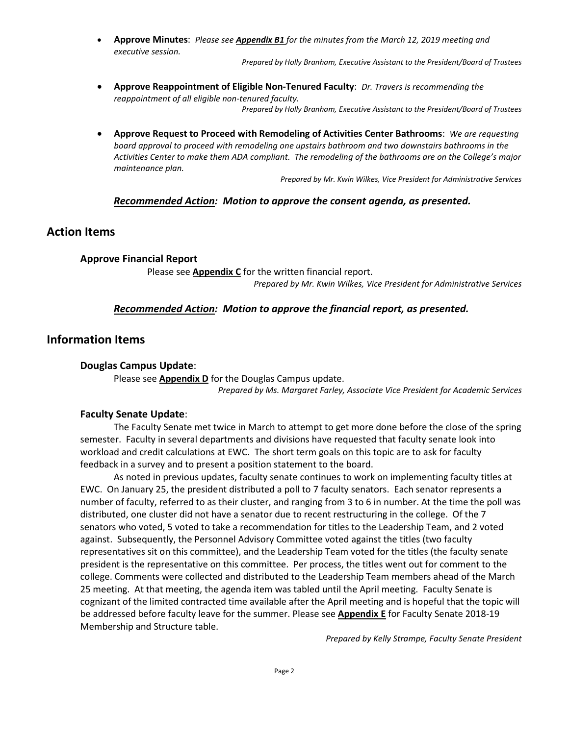• **Approve Minutes**: *Please see Appendix B1 for the minutes from the March 12, 2019 meeting and executive session.*

*Prepared by Holly Branham, Executive Assistant to the President/Board of Trustees*

- **Approve Reappointment of Eligible Non-Tenured Faculty**: *Dr. Travers is recommending the reappointment of all eligible non-tenured faculty. Prepared by Holly Branham, Executive Assistant to the President/Board of Trustees*
- **Approve Request to Proceed with Remodeling of Activities Center Bathrooms**: *We are requesting board approval to proceed with remodeling one upstairs bathroom and two downstairs bathrooms in the Activities Center to make them ADA compliant. The remodeling of the bathrooms are on the College's major maintenance plan.*

*Prepared by Mr. Kwin Wilkes, Vice President for Administrative Services*

### *Recommended Action: Motion to approve the consent agenda, as presented.*

### **Action Items**

#### **Approve Financial Report**

Please see **Appendix C** for the written financial report. *Prepared by Mr. Kwin Wilkes, Vice President for Administrative Services*

#### *Recommended Action: Motion to approve the financial report, as presented.*

### **Information Items**

#### **Douglas Campus Update**:

Please see **Appendix D** for the Douglas Campus update.

*Prepared by Ms. Margaret Farley, Associate Vice President for Academic Services*

#### **Faculty Senate Update**:

The Faculty Senate met twice in March to attempt to get more done before the close of the spring semester. Faculty in several departments and divisions have requested that faculty senate look into workload and credit calculations at EWC. The short term goals on this topic are to ask for faculty feedback in a survey and to present a position statement to the board.

As noted in previous updates, faculty senate continues to work on implementing faculty titles at EWC. On January 25, the president distributed a poll to 7 faculty senators. Each senator represents a number of faculty, referred to as their cluster, and ranging from 3 to 6 in number. At the time the poll was distributed, one cluster did not have a senator due to recent restructuring in the college. Of the 7 senators who voted, 5 voted to take a recommendation for titles to the Leadership Team, and 2 voted against. Subsequently, the Personnel Advisory Committee voted against the titles (two faculty representatives sit on this committee), and the Leadership Team voted for the titles (the faculty senate president is the representative on this committee. Per process, the titles went out for comment to the college. Comments were collected and distributed to the Leadership Team members ahead of the March 25 meeting. At that meeting, the agenda item was tabled until the April meeting. Faculty Senate is cognizant of the limited contracted time available after the April meeting and is hopeful that the topic will be addressed before faculty leave for the summer. Please see **Appendix E** for Faculty Senate 2018-19 Membership and Structure table.

*Prepared by Kelly Strampe, Faculty Senate President*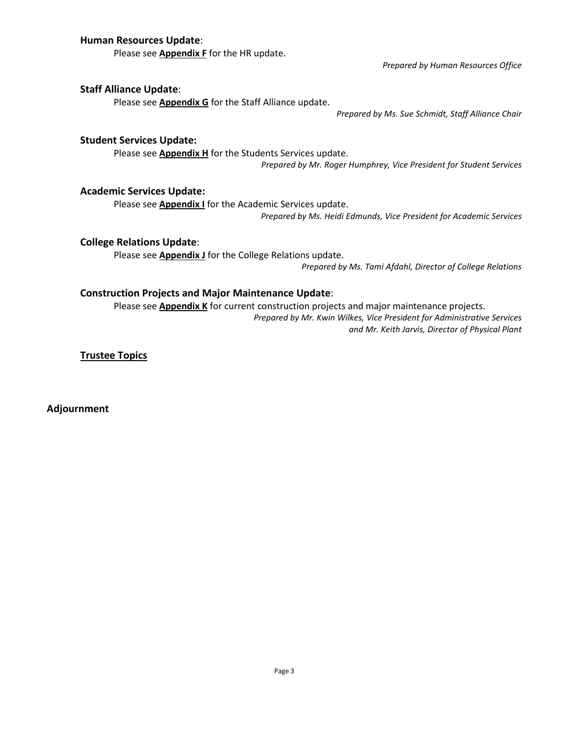### **Human Resources Update**:

Please see **Appendix F** for the HR update.

*Prepared by Human Resources Office*

### **Staff Alliance Update**:

Please see **Appendix G** for the Staff Alliance update.

*Prepared by Ms. Sue Schmidt, Staff Alliance Chair*

### **Student Services Update:**

Please see **Appendix H** for the Students Services update. *Prepared by Mr. Roger Humphrey, Vice President for Student Services*

### **Academic Services Update:**

Please see **Appendix I** for the Academic Services update.

*Prepared by Ms. Heidi Edmunds, Vice President for Academic Services*

### **College Relations Update**:

Please see **Appendix J** for the College Relations update.

*Prepared by Ms. Tami Afdahl, Director of College Relations*

### **Construction Projects and Major Maintenance Update**:

Please see **Appendix K** for current construction projects and major maintenance projects.

*Prepared by Mr. Kwin Wilkes, Vice President for Administrative Services and Mr. Keith Jarvis, Director of Physical Plant*

**Trustee Topics**

**Adjournment**